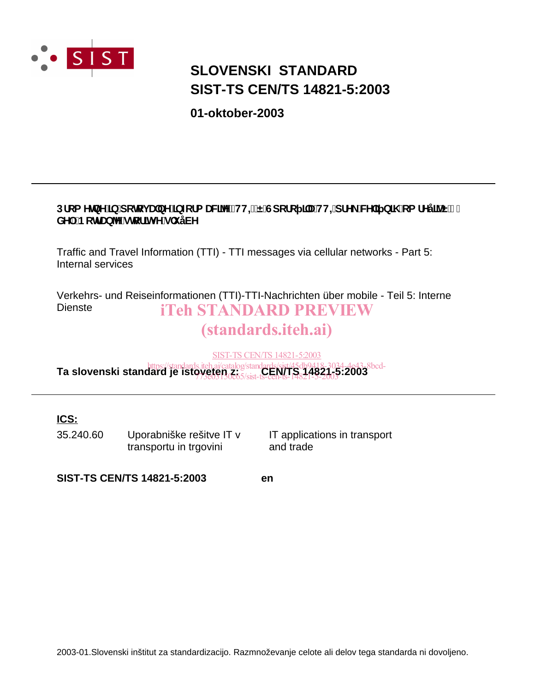

# **SIST-TS CEN/TS 14821-5:2003 SLOVENSKI STANDARD**

**01-oktober-2003**

## Dfca YlbY]b'dclcj UbY]bZtfa UNYYfHHŁËGdcfc ]'UHH=dfY\_'WY] b]\ 'ca fYÿ]<sup>x</sup>Ë') " **XY. BcHUbY glcf]hj Y#j`i ÿVY**

Traffic and Travel Information (TTI) - TTI messages via cellular networks - Part 5: Internal services

Verkehrs- und Reiseinformationen (TTI)-TTI-Nachrichten über mobile - Teil 5: Interne **Dienste** iTeh STANDARD PREVIEW

# (standards.iteh.ai)

SIST-TS CEN/TS 14821-5:2003

https://standards.iteh.ai/catalog/standards/sist/45db9418-3034-4e43-8bcd-<br>**Ta slovenski standard je istoveten.z.**s.<sub>6.ista</sub>r.**C.EN/TS<sub>8</sub>14821.55:2003** 773e03150c65/sist-ts-cen-ts-14821-5-2003

## **ICS:**

35.240.60 Uporabniške rešitve IT v transportu in trgovini

IT applications in transport and trade

**SIST-TS CEN/TS 14821-5:2003 en**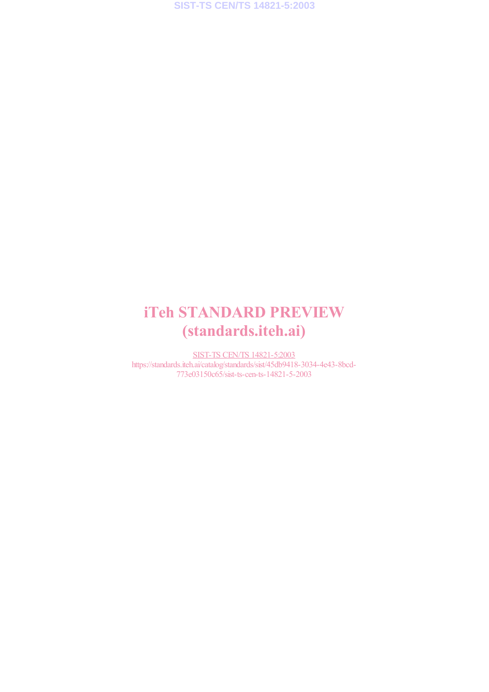# iTeh STANDARD PREVIEW (standards.iteh.ai)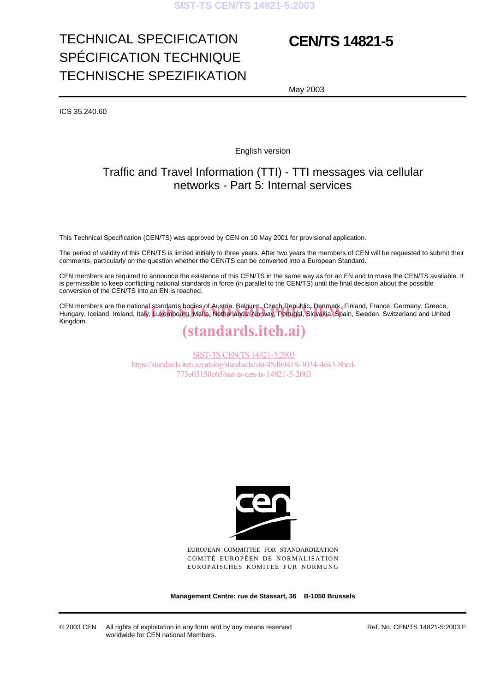# TECHNICAL SPECIFICATION SPÉCIFICATION TECHNIQUE TECHNISCHE SPEZIFIKATION

# **CEN/TS 14821-5**

May 2003

ICS 35.240.60

English version

## Traffic and Travel Information (TTI) - TTI messages via cellular networks - Part 5: Internal services

This Technical Specification (CEN/TS) was approved by CEN on 10 May 2001 for provisional application.

The period of validity of this CEN/TS is limited initially to three years. After two years the members of CEN will be requested to submit their comments, particularly on the question whether the CEN/TS can be converted into a European Standard.

CEN members are required to announce the existence of this CEN/TS in the same way as for an EN and to make the CEN/TS available. It is permissible to keep conflicting national standards in force (in parallel to the CEN/TS) until the final decision about the possible conversion of the CEN/TS into an EN is reached.

CEN members are the national standards bodies of Austria, Belgium, Czech Republic, Denmark, Finland, France, Germany, Greece, CEN members are the national-standards-bodies of Austria, Belgium, Czech Republic, Denmark, Finland, France, Germany, Greece,<br>Hungary, Iceland, Ireland, Italy, Luxembourg, Malta, Netherlands, Norway, Portugal, Slovakia, Sp Kingdom.

## (standards.iteh.ai)

SIST-TS CEN/TS 14821-5:2003 https://standards.iteh.ai/catalog/standards/sist/45db9418-3034-4e43-8bcd-773e03150c65/sist-ts-cen-ts-14821-5-2003



EUROPEAN COMMITTEE FOR STANDARDIZATION COMITÉ EUROPÉEN DE NORMALISATION EUROPÄISCHES KOMITEE FÜR NORMUNG

**Management Centre: rue de Stassart, 36 B-1050 Brussels**

© 2003 CEN All rights of exploitation in any form and by any means reserved worldwide for CEN national Members.

Ref. No. CEN/TS 14821-5:2003 E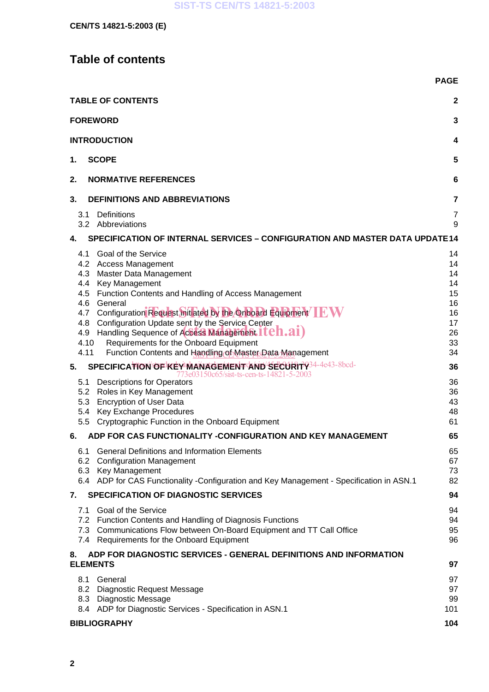## **Table of contents**

|                                                                                                  |                                                                                          | <b>PAGE</b>    |  |
|--------------------------------------------------------------------------------------------------|------------------------------------------------------------------------------------------|----------------|--|
| <b>TABLE OF CONTENTS</b>                                                                         |                                                                                          |                |  |
| <b>FOREWORD</b>                                                                                  |                                                                                          |                |  |
| <b>INTRODUCTION</b><br>4                                                                         |                                                                                          |                |  |
| 1.                                                                                               | <b>SCOPE</b>                                                                             | 5              |  |
| 2.                                                                                               | <b>NORMATIVE REFERENCES</b>                                                              | 6              |  |
| 3.                                                                                               | <b>DEFINITIONS AND ABBREVIATIONS</b>                                                     | 7              |  |
| 3.1                                                                                              | Definitions                                                                              | $\overline{7}$ |  |
|                                                                                                  | 3.2 Abbreviations                                                                        | 9              |  |
| SPECIFICATION OF INTERNAL SERVICES - CONFIGURATION AND MASTER DATA UPDATE 14<br>4.               |                                                                                          |                |  |
|                                                                                                  | 4.1 Goal of the Service                                                                  | 14             |  |
|                                                                                                  | 4.2 Access Management                                                                    | 14             |  |
|                                                                                                  | 4.3 Master Data Management                                                               | 14             |  |
| 4.4                                                                                              | Key Management                                                                           | 14             |  |
| 4.5                                                                                              | Function Contents and Handling of Access Management<br>4.6 General                       | 15<br>16       |  |
| 4.7                                                                                              | Configuration Request initiated by the Onboard Equipment                                 | 16             |  |
| 4.8                                                                                              | Configuration Update sent by the Service Center                                          | 17             |  |
| 4.9                                                                                              | Handling Sequence of Access Management Iteh.al)                                          | 26             |  |
| 4.10                                                                                             | Requirements for the Onboard Equipment                                                   | 33             |  |
| 4.11                                                                                             | Function Contents and Handling of Master Data Management                                 | 34             |  |
| 5.                                                                                               | SPECIFICATION OF KEY MANAGEMENT AND SECURITY34-4e43-8bcd-                                | 36             |  |
| 5.1                                                                                              | 773e03150c65/sist-ts-cen-ts-14821-5-2003<br><b>Descriptions for Operators</b>            | 36             |  |
| 5.2                                                                                              | Roles in Key Management                                                                  | 36             |  |
| 5.3                                                                                              | <b>Encryption of User Data</b>                                                           | 43             |  |
| 5.4                                                                                              | Key Exchange Procedures                                                                  | 48             |  |
| 5.5                                                                                              | Cryptographic Function in the Onboard Equipment                                          | 61             |  |
| 6.                                                                                               | ADP FOR CAS FUNCTIONALITY - CONFIGURATION AND KEY MANAGEMENT                             | 65             |  |
| 6.1                                                                                              | <b>General Definitions and Information Elements</b>                                      | 65             |  |
| 6.2                                                                                              | <b>Configuration Management</b>                                                          | 67             |  |
|                                                                                                  | 6.3 Key Management                                                                       | 73             |  |
|                                                                                                  | 6.4 ADP for CAS Functionality -Configuration and Key Management - Specification in ASN.1 | 82             |  |
| 7.                                                                                               | <b>SPECIFICATION OF DIAGNOSTIC SERVICES</b>                                              | 94             |  |
| 7.1                                                                                              | Goal of the Service                                                                      | 94             |  |
| 7.2                                                                                              | Function Contents and Handling of Diagnosis Functions                                    | 94             |  |
|                                                                                                  | 7.3 Communications Flow between On-Board Equipment and TT Call Office                    | 95             |  |
|                                                                                                  | 7.4 Requirements for the Onboard Equipment                                               | 96             |  |
| ADP FOR DIAGNOSTIC SERVICES - GENERAL DEFINITIONS AND INFORMATION<br>8.<br><b>ELEMENTS</b><br>97 |                                                                                          |                |  |
|                                                                                                  |                                                                                          |                |  |
| 8.1                                                                                              | General                                                                                  | 97             |  |
| 8.2<br>8.3                                                                                       | Diagnostic Request Message<br>Diagnostic Message                                         | 97<br>99       |  |
|                                                                                                  | 8.4 ADP for Diagnostic Services - Specification in ASN.1                                 | 101            |  |
|                                                                                                  |                                                                                          | 104            |  |
|                                                                                                  | <b>BIBLIOGRAPHY</b>                                                                      |                |  |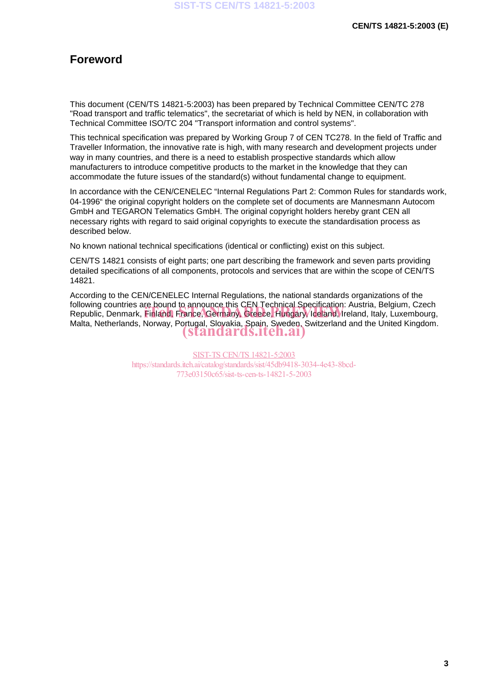## **Foreword**

This document (CEN/TS 14821-5:2003) has been prepared by Technical Committee CEN/TC 278 "Road transport and traffic telematics", the secretariat of which is held by NEN, in collaboration with Technical Committee ISO/TC 204 "Transport information and control systems".

This technical specification was prepared by Working Group 7 of CEN TC278. In the field of Traffic and Traveller Information, the innovative rate is high, with many research and development projects under way in many countries, and there is a need to establish prospective standards which allow manufacturers to introduce competitive products to the market in the knowledge that they can accommodate the future issues of the standard(s) without fundamental change to equipment.

In accordance with the CEN/CENELEC "Internal Regulations Part 2: Common Rules for standards work, 04-1996" the original copyright holders on the complete set of documents are Mannesmann Autocom GmbH and TEGARON Telematics GmbH. The original copyright holders hereby grant CEN all necessary rights with regard to said original copyrights to execute the standardisation process as described below.

No known national technical specifications (identical or conflicting) exist on this subject.

CEN/TS 14821 consists of eight parts; one part describing the framework and seven parts providing detailed specifications of all components, protocols and services that are within the scope of CEN/TS 14821.

According to the CEN/CENELEC Internal Regulations, the national standards organizations of the following countries are bound to announce this CEN Technical Specification: Austria, Belgium, Czech rollowing countries are pound to applounce this CEN Technical Specification. Austria, Belgium, Czech<br>Republic, Denmark, Finland, France, Germany, Greece, Hungary, Iceland, Ireland, Italy, Luxembourg, Malta, Netherlands, Norway, Portugal, Slovakia, Spain, Sweden, Switzerland and the United Kingdom. (standards.iteh.ai)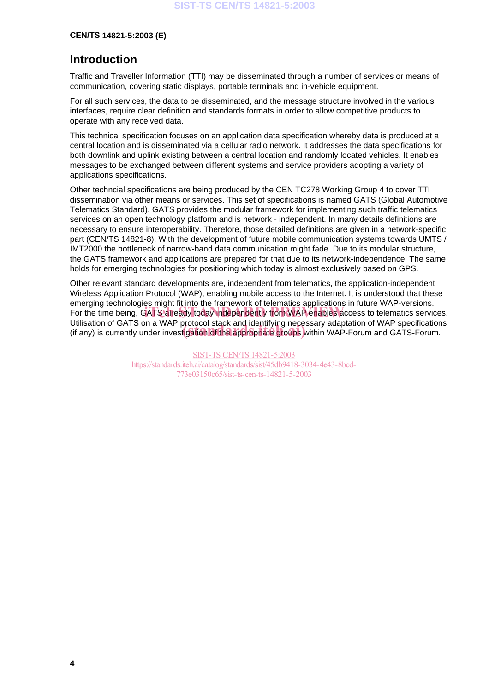#### **CEN/TS 14821-5:2003 (E)**

## **Introduction**

Traffic and Traveller Information (TTI) may be disseminated through a number of services or means of communication, covering static displays, portable terminals and in-vehicle equipment.

For all such services, the data to be disseminated, and the message structure involved in the various interfaces, require clear definition and standards formats in order to allow competitive products to operate with any received data.

This technical specification focuses on an application data specification whereby data is produced at a central location and is disseminated via a cellular radio network. It addresses the data specifications for both downlink and uplink existing between a central location and randomly located vehicles. It enables messages to be exchanged between different systems and service providers adopting a variety of applications specifications.

Other techncial specifications are being produced by the CEN TC278 Working Group 4 to cover TTI dissemination via other means or services. This set of specifications is named GATS (Global Automotive Telematics Standard). GATS provides the modular framework for implementing such traffic telematics services on an open technology platform and is network - independent. In many details definitions are necessary to ensure interoperability. Therefore, those detailed definitions are given in a network-specific part (CEN/TS 14821-8). With the development of future mobile communication systems towards UMTS / IMT2000 the bottleneck of narrow-band data communication might fade. Due to its modular structure, the GATS framework and applications are prepared for that due to its network-independence. The same holds for emerging technologies for positioning which today is almost exclusively based on GPS.

Other relevant standard developments are, independent from telematics, the application-independent Wireless Application Protocol (WAP), enabling mobile access to the Internet. It is understood that these emerging technologies might fit into the framework of telematics applications in future WAP-versions. Enlenging technologies might in this the namework of telematics applications in future WAT-versions.<br>For the time being, GATS already today independently from WAP enables access to telematics services. Utilisation of GATS on a WAP protocol stack and identifying necessary adaptation of WAP specifications Utilisation of GATS on a twar protocol stack and identifying necessary adaptation of twar specification<br>(if any) is currently under investigation of the appropriate groups within WAP-Forum and GATS-Forum.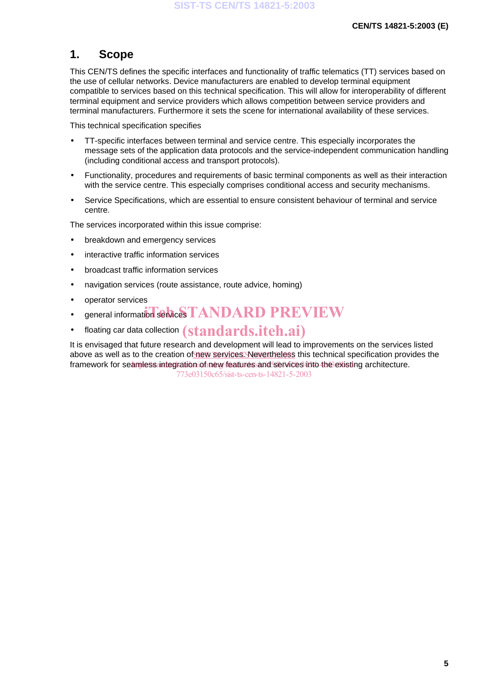## **1. Scope**

This CEN/TS defines the specific interfaces and functionality of traffic telematics (TT) services based on the use of cellular networks. Device manufacturers are enabled to develop terminal equipment compatible to services based on this technical specification. This will allow for interoperability of different terminal equipment and service providers which allows competition between service providers and terminal manufacturers. Furthermore it sets the scene for international availability of these services.

This technical specification specifies

- TT-specific interfaces between terminal and service centre. This especially incorporates the message sets of the application data protocols and the service-independent communication handling (including conditional access and transport protocols).
- Functionality, procedures and requirements of basic terminal components as well as their interaction with the service centre. This especially comprises conditional access and security mechanisms.
- Service Specifications, which are essential to ensure consistent behaviour of terminal and service centre.

The services incorporated within this issue comprise:

- breakdown and emergency services
- interactive traffic information services
- broadcast traffic information services
- navigation services (route assistance, route advice, homing)
- operator services
- general information services TANDARD PREVIEW
- floating car data collection  $(\mathrm{standard} s.\mathrm{iteh}.a i)$

It is envisaged that future research and development will lead to improvements on the services listed above as well as to the creation of **new services. Nevertheless** this technical specification provides the framework for seamlessaintegration of new features and services into the existing architecture.

773e03150c65/sist-ts-cen-ts-14821-5-2003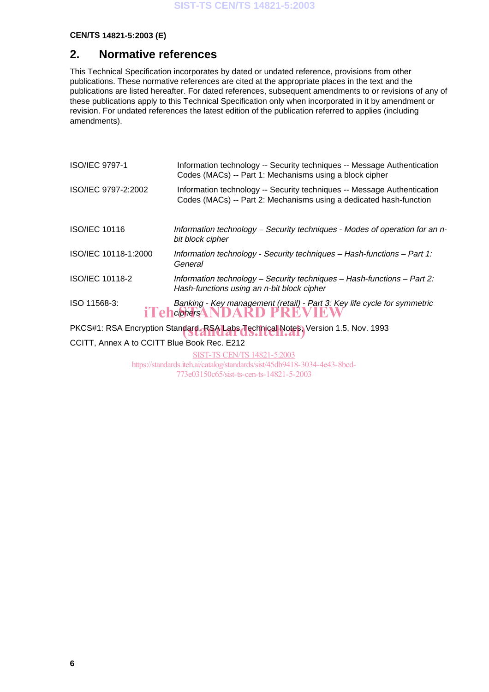#### **CEN/TS 14821-5:2003 (E)**

## **2. Normative references**

This Technical Specification incorporates by dated or undated reference, provisions from other publications. These normative references are cited at the appropriate places in the text and the publications are listed hereafter. For dated references, subsequent amendments to or revisions of any of these publications apply to this Technical Specification only when incorporated in it by amendment or revision. For undated references the latest edition of the publication referred to applies (including amendments).

| ISO/IEC 9797-1                                                                    | Information technology -- Security techniques -- Message Authentication<br>Codes (MACs) -- Part 1: Mechanisms using a block cipher            |  |  |
|-----------------------------------------------------------------------------------|-----------------------------------------------------------------------------------------------------------------------------------------------|--|--|
| ISO/IEC 9797-2:2002                                                               | Information technology -- Security techniques -- Message Authentication<br>Codes (MACs) -- Part 2: Mechanisms using a dedicated hash-function |  |  |
| ISO/IEC 10116                                                                     | Information technology – Security techniques - Modes of operation for an n-<br>bit block cipher                                               |  |  |
| ISO/IEC 10118-1:2000                                                              | Information technology - Security techniques - Hash-functions - Part 1:<br>General                                                            |  |  |
| ISO/IEC 10118-2                                                                   | Information technology - Security techniques - Hash-functions - Part 2:<br>Hash-functions using an n-bit block cipher                         |  |  |
| ISO 11568-3:<br>iTe                                                               | Banking - Key management (retail) - Part 3: Key life cycle for symmetric<br>$hcbhe$ rs $\triangle$ $NDARD$ $PRE$                              |  |  |
| PKCS#1: RSA Encryption Standard, RSA Labs Technical Notes) Version 1.5, Nov. 1993 |                                                                                                                                               |  |  |

#### CCITT, Annex A to CCITT Blue Book Rec. E212

SIST-TS CEN/TS 14821-5:2003 https://standards.iteh.ai/catalog/standards/sist/45db9418-3034-4e43-8bcd-

773e03150c65/sist-ts-cen-ts-14821-5-2003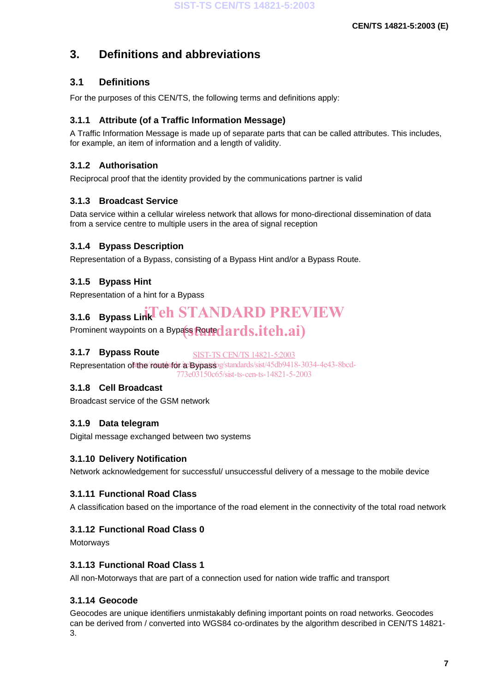## **3. Definitions and abbreviations**

## **3.1 Definitions**

For the purposes of this CEN/TS, the following terms and definitions apply:

#### **3.1.1 Attribute (of a Traffic Information Message)**

A Traffic Information Message is made up of separate parts that can be called attributes. This includes, for example, an item of information and a length of validity.

#### **3.1.2 Authorisation**

Reciprocal proof that the identity provided by the communications partner is valid

#### **3.1.3 Broadcast Service**

Data service within a cellular wireless network that allows for mono-directional dissemination of data from a service centre to multiple users in the area of signal reception

#### **3.1.4 Bypass Description**

Representation of a Bypass, consisting of a Bypass Hint and/or a Bypass Route.

#### **3.1.5 Bypass Hint**

Representation of a hint for a Bypass

# **3.1.6** Bypass Link Teh STANDARD PREVIEW

Prominent waypoints on a Bypass Routed  $\bm{ards}.\bm{iteh}.\bm{ai})$ 

#### **3.1.7 Bypass Route** SIST-TS CEN/TS 14821-5:2003

Representation of the route for a Bypass og/standards/sist/45db9418-3034-4e43-8bcd-773e03150c65/sist-ts-cen-ts-14821-5-2003

#### **3.1.8 Cell Broadcast**

Broadcast service of the GSM network

#### **3.1.9 Data telegram**

Digital message exchanged between two systems

#### **3.1.10 Delivery Notification**

Network acknowledgement for successful/ unsuccessful delivery of a message to the mobile device

#### **3.1.11 Functional Road Class**

A classification based on the importance of the road element in the connectivity of the total road network

#### **3.1.12 Functional Road Class 0**

**Motorways** 

#### **3.1.13 Functional Road Class 1**

All non-Motorways that are part of a connection used for nation wide traffic and transport

#### **3.1.14 Geocode**

Geocodes are unique identifiers unmistakably defining important points on road networks. Geocodes can be derived from / converted into WGS84 co-ordinates by the algorithm described in CEN/TS 14821- 3.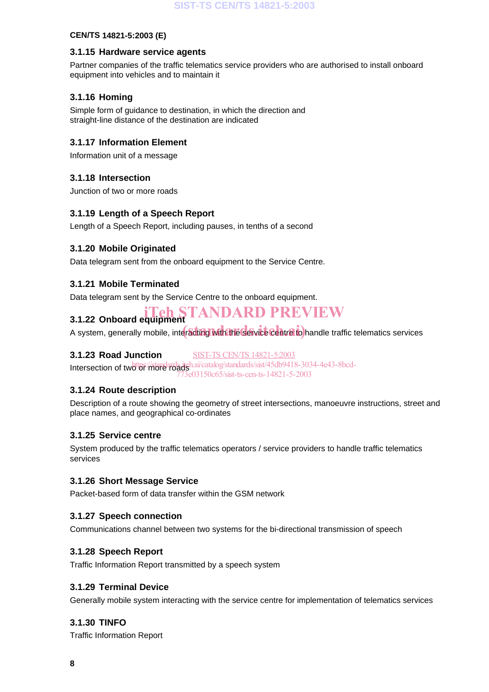#### **CEN/TS 14821-5:2003 (E)**

#### **3.1.15 Hardware service agents**

Partner companies of the traffic telematics service providers who are authorised to install onboard equipment into vehicles and to maintain it

#### **3.1.16 Homing**

Simple form of guidance to destination, in which the direction and straight-line distance of the destination are indicated

#### **3.1.17 Information Element**

Information unit of a message

#### **3.1.18 Intersection**

Junction of two or more roads

#### **3.1.19 Length of a Speech Report**

Length of a Speech Report, including pauses, in tenths of a second

#### **3.1.20 Mobile Originated**

Data telegram sent from the onboard equipment to the Service Centre.

#### **3.1.21 Mobile Terminated**

Data telegram sent by the Service Centre to the onboard equipment.

#### **3.1.22 Onboard equipment Teh STANDARD PREVIEW**

2002 - 2008 CM CM CO<sub>MP</sub>MONTS<br>A system, generally mobile, interacting with the service centre to handle traffic telematics services

#### **3.1.23 Road Junction** SIST-TS CEN/TS 14821-5:2003

Intersection of two or more roads iteh.ai/catalog/standards/sist/45db9418-3034-4e43-8bcd-773e03150c65/sist-ts-cen-ts-14821-5-2003

#### **3.1.24 Route description**

Description of a route showing the geometry of street intersections, manoeuvre instructions, street and place names, and geographical co-ordinates

#### **3.1.25 Service centre**

System produced by the traffic telematics operators / service providers to handle traffic telematics services

#### **3.1.26 Short Message Service**

Packet-based form of data transfer within the GSM network

#### **3.1.27 Speech connection**

Communications channel between two systems for the bi-directional transmission of speech

#### **3.1.28 Speech Report**

Traffic Information Report transmitted by a speech system

#### **3.1.29 Terminal Device**

Generally mobile system interacting with the service centre for implementation of telematics services

#### **3.1.30 TINFO**

Traffic Information Report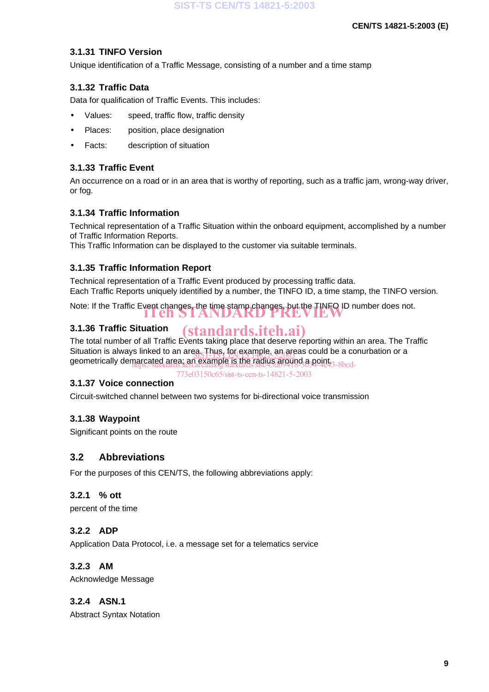#### **3.1.31 TINFO Version**

Unique identification of a Traffic Message, consisting of a number and a time stamp

#### **3.1.32 Traffic Data**

Data for qualification of Traffic Events. This includes:

- Values: speed, traffic flow, traffic density
- Places: position, place designation
- Facts: description of situation

#### **3.1.33 Traffic Event**

An occurrence on a road or in an area that is worthy of reporting, such as a traffic jam, wrong-way driver, or fog.

#### **3.1.34 Traffic Information**

Technical representation of a Traffic Situation within the onboard equipment, accomplished by a number of Traffic Information Reports.

This Traffic Information can be displayed to the customer via suitable terminals.

#### **3.1.35 Traffic Information Report**

Technical representation of a Traffic Event produced by processing traffic data. Each Traffic Reports uniquely identified by a number, the TINFO ID, a time stamp, the TINFO version.

Note: If the Traffic Event changes, the time stamp changes, but the TINFO ID number does not. iTeh STANDARD PREVIEW

#### **3.1.36 Traffic Situation** (standards.iteh.ai)

The total number of all Traffic Events taking place that deserve reporting within an area. The Traffic Situation is always linked to an area. Thus, for example, an areas could be a conurbation or a Situation is always linked to an area<sub>st</sub>-nus. By argaining, an areas could i<br>geometrically demarcated area; an example is the radius around a point. https://standards.iteh.ai/catalog/standards/sist/45db9418-3034-4e43-8bcd-

773e03150c65/sist-ts-cen-ts-14821-5-2003

#### **3.1.37 Voice connection**

Circuit-switched channel between two systems for bi-directional voice transmission

#### **3.1.38 Waypoint**

Significant points on the route

#### **3.2 Abbreviations**

For the purposes of this CEN/TS, the following abbreviations apply:

#### **3.2.1 % ott**

percent of the time

#### **3.2.2 ADP**

Application Data Protocol, i.e. a message set for a telematics service

#### **3.2.3 AM**

Acknowledge Message

#### **3.2.4 ASN.1**

Abstract Syntax Notation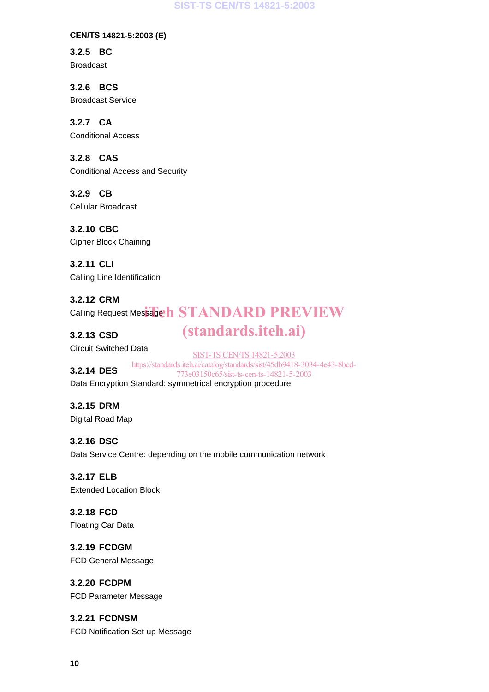#### **SIST-TS CEN/TS 14821-5:2003**

#### **CEN/TS 14821-5:2003 (E)**

**3.2.5 BC** Broadcast

**3.2.6 BCS** Broadcast Service

**3.2.7 CA** Conditional Access

**3.2.8 CAS** Conditional Access and Security

**3.2.9 CB** Cellular Broadcast

**3.2.10 CBC** Cipher Block Chaining

**3.2.11 CLI** Calling Line Identification

**3.2.12 CRM** Calling Request Messageh STANDARD PREVIEW

## **3.2.13 CSD**

# (standards.iteh.ai)

Circuit Switched Data **3.2.14 DES** SIST-TS CEN/TS 14821-5:2003 https://standards.iteh.ai/catalog/standards/sist/45db9418-3034-4e43-8bcd-773e03150c65/sist-ts-cen-ts-14821-5-2003

Data Encryption Standard: symmetrical encryption procedure

**3.2.15 DRM** Digital Road Map

**3.2.16 DSC**

Data Service Centre: depending on the mobile communication network

**3.2.17 ELB** Extended Location Block

**3.2.18 FCD** Floating Car Data

**3.2.19 FCDGM** FCD General Message

**3.2.20 FCDPM** FCD Parameter Message

**3.2.21 FCDNSM** FCD Notification Set-up Message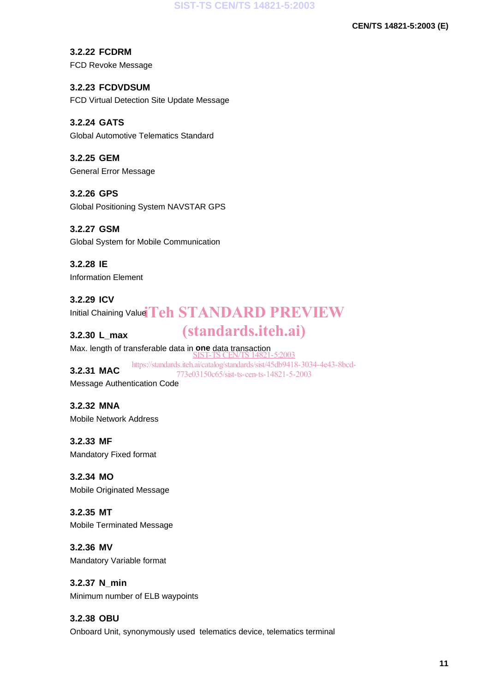#### **3.2.22 FCDRM**

FCD Revoke Message

#### **3.2.23 FCDVDSUM**

FCD Virtual Detection Site Update Message

## **3.2.24 GATS**

Global Automotive Telematics Standard

#### **3.2.25 GEM** General Error Message

**3.2.26 GPS** Global Positioning System NAVSTAR GPS

**3.2.27 GSM** Global System for Mobile Communication

**3.2.28 IE** Information Element

**3.2.29 ICV** Initial Chaining Value  $\overline{\text{Teh STANDARD PREVIEW}}$ 

#### **3.2.30 L\_max**

# (standards.iteh.ai)

Max. length of transferable data in **one** data transaction SIST-TS CEN/TS 14821-5:2003

**3.2.31 MAC** https://standards.iteh.ai/catalog/standards/sist/45db9418-3034-4e43-8bcd-773e03150c65/sist-ts-cen-ts-14821-5-2003

Message Authentication Code

**3.2.32 MNA** Mobile Network Address

**3.2.33 MF** Mandatory Fixed format

**3.2.34 MO** Mobile Originated Message

**3.2.35 MT** Mobile Terminated Message

**3.2.36 MV** Mandatory Variable format

**3.2.37 N\_min** Minimum number of ELB waypoints

## **3.2.38 OBU**

Onboard Unit, synonymously used telematics device, telematics terminal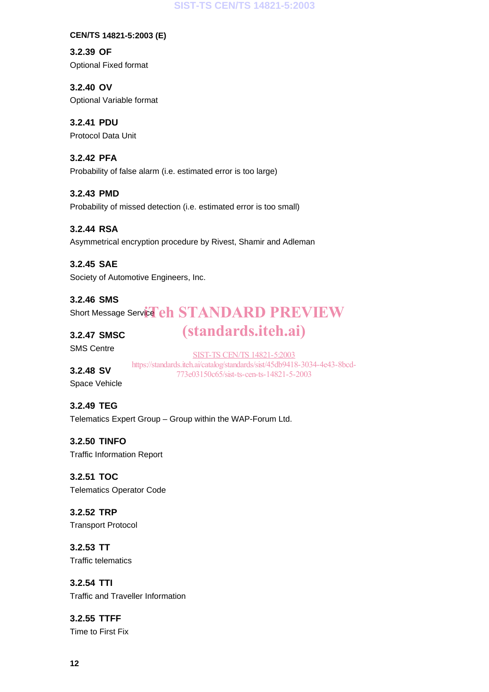#### **SIST-TS CEN/TS 14821-5:2003**

#### **CEN/TS 14821-5:2003 (E)**

#### **3.2.39 OF** Optional Fixed format

**3.2.40 OV** Optional Variable format

# **3.2.41 PDU**

Protocol Data Unit

## **3.2.42 PFA**

Probability of false alarm (i.e. estimated error is too large)

## **3.2.43 PMD**

Probability of missed detection (i.e. estimated error is too small)

## **3.2.44 RSA**

Asymmetrical encryption procedure by Rivest, Shamir and Adleman

## **3.2.45 SAE**

Society of Automotive Engineers, Inc.

## **3.2.46 SMS**

Short Message Service eh STANDARD PREVIEW

#### **3.2.47 SMSC** SMS Centre

# (standards.iteh.ai)

**3.2.48 SV**

SIST-TS CEN/TS 14821-5:2003 https://standards.iteh.ai/catalog/standards/sist/45db9418-3034-4e43-8bcd-773e03150c65/sist-ts-cen-ts-14821-5-2003

Space Vehicle

## **3.2.49 TEG**

Telematics Expert Group – Group within the WAP-Forum Ltd.

## **3.2.50 TINFO** Traffic Information Report

**3.2.51 TOC** Telematics Operator Code

#### **3.2.52 TRP** Transport Protocol

**3.2.53 TT** Traffic telematics

### **3.2.54 TTI** Traffic and Traveller Information

**3.2.55 TTFF** Time to First Fix